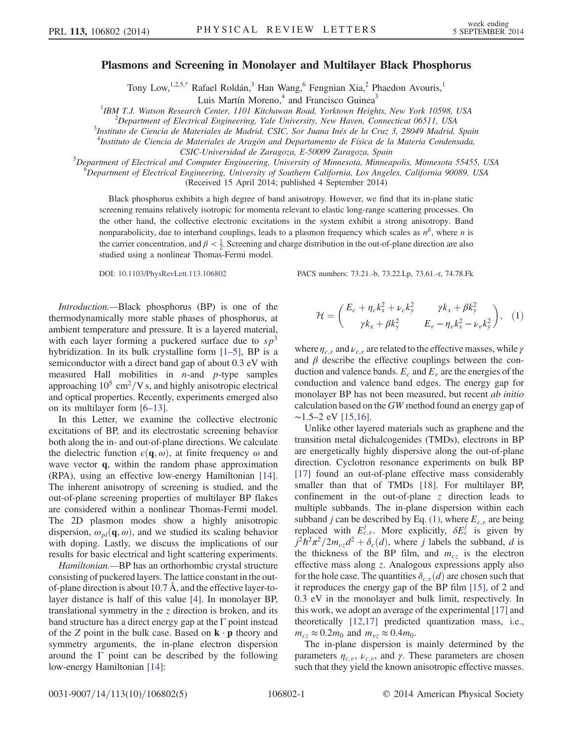## <span id="page-0-1"></span>Plasmons and Screening in Monolayer and Multilayer Black Phosphorus

Tony Low,<sup>1,2,5[,\\*](#page-4-0)</sup> Rafael Roldán,<sup>3</sup> Han Wang,<sup>6</sup> Fengnian Xia,<sup>2</sup> Phaedon Avouris,<sup>1</sup>

Luis Martín Moreno, $4$  and Francisco Guinea $3$ 

<sup>1</sup>IBM T.J. Watson Research Center, 1101 Kitchawan Road, Yorktown Heights, New York 10598, USA<br><sup>2</sup> Denartment of Electrical Engineering, Vale University, New Hayen, Connecticut 06511, USA

 $\alpha^2$ Department of Electrical Engineering, Yale University, New Haven, Connecticut 06511, USA

<sup>3</sup>Instituto de Ciencia de Materiales de Madrid, CSIC, Sor Juana Inés de la Cruz 3, 28049 Madrid, Spain

<sup>4</sup>Instituto de Ciencia de Materiales de Aragón and Departamento de Física de la Materia Condensada,

CSIC-Universidad de Zaragoza, E-50009 Zaragoza, Spain<br>SP anautment of Electrical and Computer Engineering University of Minnesota, Minnes

Department of Electrical and Computer Engineering, University of Minnesota, Minneapolis, Minnesota 55455, USA<br><sup>6</sup>Department of Electrical Engineering, University of Southern California, Los Angeles, California 00080, USA

Department of Electrical Engineering, University of Southern California, Los Angeles, California 90089, USA

(Received 15 April 2014; published 4 September 2014)

Black phosphorus exhibits a high degree of band anisotropy. However, we find that its in-plane static screening remains relatively isotropic for momenta relevant to elastic long-range scattering processes. On the other hand, the collective electronic excitations in the system exhibit a strong anisotropy. Band nonparabolicity, due to interband couplings, leads to a plasmon frequency which scales as  $n^{\beta}$ , where n is the carrier concentration, and  $\beta < \frac{1}{2}$ . Screening and charge distribution in the out-of-plane direction are also studied using a nonlinear Thomas-Fermi model.

DOI: [10.1103/PhysRevLett.113.106802](http://dx.doi.org/10.1103/PhysRevLett.113.106802) PACS numbers: 73.21.-b, 73.22.Lp, 73.61.-r, 74.78.Fk

Introduction.—Black phosphorus (BP) is one of the thermodynamically more stable phases of phosphorus, at ambient temperature and pressure. It is a layered material, with each layer forming a puckered surface due to  $sp^3$ hybridization. In its bulk crystalline form [1–[5\],](#page-4-1) BP is a semiconductor with a direct band gap of about 0.3 eV with measured Hall mobilities in  $n$ -and  $p$ -type samples approaching  $10^5$  cm<sup>2</sup>/V s, and highly anisotropic electrical and optical properties. Recently, experiments emerged also on its multilayer form [6–[13\]](#page-4-2).

In this Letter, we examine the collective electronic excitations of BP, and its electrostatic screening behavior both along the in- and out-of-plane directions. We calculate the dielectric function  $\epsilon(\mathbf{q}, \omega)$ , at finite frequency  $\omega$  and wave vector **q**, within the random phase approximation (RPA), using an effective low-energy Hamiltonian [\[14\]](#page-4-3). The inherent anisotropy of screening is studied, and the out-of-plane screening properties of multilayer BP flakes are considered within a nonlinear Thomas-Fermi model. The 2D plasmon modes show a highly anisotropic dispersion,  $\omega_{pl}(\mathbf{q},\omega)$ , and we studied its scaling behavior with doping. Lastly, we discuss the implications of our results for basic electrical and light scattering experiments.

<span id="page-0-0"></span>Hamiltonian.—BP has an orthorhombic crystal structure consisting of puckered layers. The lattice constant in the outof-plane direction is about 10.7 Å, and the effective layer-tolayer distance is half of this value [\[4\]](#page-4-4). In monolayer BP, translational symmetry in the  $z$  direction is broken, and its band structure has a direct energy gap at the  $\Gamma$  point instead of the Z point in the bulk case. Based on  $\mathbf{k} \cdot \mathbf{p}$  theory and symmetry arguments, the in-plane electron dispersion around the Γ point can be described by the following low-energy Hamiltonian [\[14\]](#page-4-3):

$$
\mathcal{H} = \begin{pmatrix} E_c + \eta_c k_x^2 + \nu_c k_y^2 & \gamma k_x + \beta k_y^2 \\ \gamma k_x + \beta k_y^2 & E_v - \eta_v k_x^2 - \nu_v k_y^2 \end{pmatrix}, \quad (1)
$$

where  $\eta_{c,v}$  and  $\nu_{c,v}$  are related to the effective masses, while  $\gamma$ and  $\beta$  describe the effective couplings between the conduction and valence bands.  $E_c$  and  $E_v$  are the energies of the conduction and valence band edges. The energy gap for monolayer BP has not been measured, but recent *ab initio* calculation based on the GW method found an energy gap of  $~\sim$ 1.5–2 eV [\[15,16\].](#page-4-5)

Unlike other layered materials such as graphene and the transition metal dichalcogenides (TMDs), electrons in BP are energetically highly dispersive along the out-of-plane direction. Cyclotron resonance experiments on bulk BP [\[17\]](#page-4-6) found an out-of-plane effective mass considerably smaller than that of TMDs [\[18\].](#page-4-7) For multilayer BP, confinement in the out-of-plane z direction leads to multiple subbands. The in-plane dispersion within each subband *j* can be described by Eq. [\(1\),](#page-0-0) where  $E_{c,v}$  are being replaced with  $E_{c,v}^j$ . More explicitly,  $\delta E_c^j$  is given by  $j^2\hbar^2\pi^2/2m_{cz}d^2+\delta_c(d)$ , where j labels the subband, d is the thickness of the BP film, and  $m_{cz}$  is the electron effective mass along z. Analogous expressions apply also for the hole case. The quantities  $\delta_{c,v}(d)$  are chosen such that it reproduces the energy gap of the BP film [\[15\],](#page-4-5) of 2 and 0.3 eV in the monolayer and bulk limit, respectively. In this work, we adopt an average of the experimental [\[17\]](#page-4-6) and theoretically [\[12,17\]](#page-4-8) predicted quantization mass, i.e.,  $m_{cz} \approx 0.2m_0$  and  $m_{vz} \approx 0.4m_0$ .

The in-plane dispersion is mainly determined by the parameters  $\eta_{c,v}$ ,  $\nu_{c,v}$ , and  $\gamma$ . These parameters are chosen such that they yield the known anisotropic effective masses.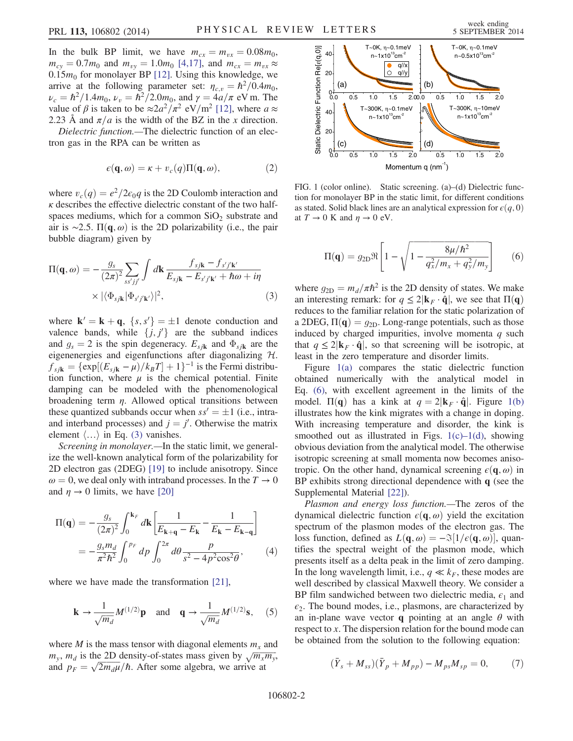In the bulk BP limit, we have  $m_{cx} = m_{vx} = 0.08m_0$ ,  $m_{cy} = 0.7m_0$  and  $m_{vy} = 1.0m_0$  [\[4,17\],](#page-4-4) and  $m_{cx} = m_{vx} \approx$ 0.15 $m_0$  for monolayer BP [\[12\].](#page-4-8) Using this knowledge, we arrive at the following parameter set:  $\eta_{c,v} = \hbar^2/0.4m_0$ ,  $\nu_c = \hbar^2/1.4m_0$ ,  $\nu_v = \hbar^2/2.0m_0$ , and  $\gamma = 4a/\pi$  eV m. The value of  $\beta$  is taken to be  $\approx 2a^2/\pi^2$  eV/m<sup>2</sup> [\[12\],](#page-4-8) where  $a \approx$ 2.23 Å and  $\pi/a$  is the width of the BZ in the x direction.

Dielectric function.—The dielectric function of an electron gas in the RPA can be written as

$$
\epsilon(\mathbf{q},\omega) = \kappa + v_c(q)\Pi(\mathbf{q},\omega),\tag{2}
$$

<span id="page-1-0"></span>where  $v_c(q) = e^2/2\epsilon_0q$  is the 2D Coulomb interaction and  $\kappa$  describes the effective dielectric constant of the two halfspaces mediums, which for a common  $SiO<sub>2</sub>$  substrate and air is ∼2.5.  $\Pi(q, \omega)$  is the 2D polarizability (i.e., the pair bubble diagram) given by

$$
\Pi(\mathbf{q}, \omega) = -\frac{g_s}{(2\pi)^2} \sum_{ss'jj'} \int d\mathbf{k} \frac{f_{sj\mathbf{k}} - f_{s'j'\mathbf{k'}}}{E_{sj\mathbf{k}} - E_{s'j'\mathbf{k'}} + \hbar\omega + i\eta} \times |\langle \Phi_{sj\mathbf{k}} | \Phi_{s'j'\mathbf{k'}} \rangle|^2, \tag{3}
$$

where  $\mathbf{k}' = \mathbf{k} + \mathbf{q}$ ,  $\{s, s'\} = \pm 1$  denote conduction and valence bands, while  $\{i, i'\}$  are the subband indices valence bands, while  $\{j, j'\}$  are the subband indices<br>and  $a - 2$  is the spin degeneracy  $F_a$ , and  $\Phi_a$ , are the and  $g_s = 2$  is the spin degeneracy.  $E_{sjk}$  and  $\Phi_{sjk}$  are the eigenenergies and eigenfunctions after diagonalizing H.  $f_{s_j\mathbf{k}} = {\exp[(E_{s_j\mathbf{k}} - \mu)/k_BT] + 1}^{-1}$  is the Fermi distribution function, where  $\mu$  is the chemical potential. Finite damping can be modeled with the phenomenological broadening term  $\eta$ . Allowed optical transitions between these quantized subbands occur when  $ss' = \pm 1$  (i.e., intra-<br>and interband processes) and  $i - i'$  Otherwise the matrix and interband processes) and  $j = j'$ . Otherwise the matrix element  $\langle \rangle$  in Eq. (3) vanishes element  $\langle \ldots \rangle$  in Eq. [\(3\)](#page-1-0) vanishes.

Screening in monolayer.—In the static limit, we generalize the well-known analytical form of the polarizability for 2D electron gas (2DEG) [\[19\]](#page-4-9) to include anisotropy. Since  $\omega = 0$ , we deal only with intraband processes. In the  $T \to 0$ and  $\eta \rightarrow 0$  limits, we have [\[20\]](#page-4-10)

$$
\Pi(\mathbf{q}) = -\frac{g_s}{(2\pi)^2} \int_0^{\mathbf{k}_F} d\mathbf{k} \left[ \frac{1}{E_{\mathbf{k}+\mathbf{q}} - E_{\mathbf{k}}} - \frac{1}{E_{\mathbf{k}} - E_{\mathbf{k}-\mathbf{q}}} \right]
$$
  
=  $-\frac{g_s m_d}{\pi^2 \hbar^2} \int_0^{p_F} dp \int_0^{2\pi} d\theta \frac{p}{s^2 - 4p^2 \cos^2 \theta},$  (4)

where we have made the transformation [\[21\]](#page-4-11),

$$
\mathbf{k} \to \frac{1}{\sqrt{m_d}} M^{(1/2)} \mathbf{p} \quad \text{and} \quad \mathbf{q} \to \frac{1}{\sqrt{m_d}} M^{(1/2)} \mathbf{s}, \quad (5)
$$

<span id="page-1-2"></span>where M is the mass tensor with diagonal elements  $m<sub>x</sub>$  and  $m_y$ ,  $m_d$  is the 2D density-of-states mass given by  $\sqrt{m_x m_y}$ , and  $p_F = \sqrt{2m_d\mu}/\hbar$ . After some algebra, we arrive at

<span id="page-1-1"></span>

FIG. 1 (color online). Static screening. (a)–(d) Dielectric function for monolayer BP in the static limit, for different conditions as stated. Solid black lines are an analytical expression for  $\epsilon(q, 0)$ at  $T \rightarrow 0$  K and  $\eta \rightarrow 0$  eV.

$$
\Pi(\mathbf{q}) = g_{2D} \Re \left[ 1 - \sqrt{1 - \frac{8\mu/\hbar^2}{q_x^2/m_x + q_y^2/m_y}} \right] \tag{6}
$$

where  $g_{2D} = m_d/\pi \hbar^2$  is the 2D density of states. We make an interesting remark: for  $q \leq 2|\mathbf{k}_F \cdot \hat{\mathbf{q}}|$ , we see that  $\Pi(\mathbf{q})$ reduces to the familiar relation for the static polarization of a 2DEG,  $\Pi(q) = q_{2D}$ . Long-range potentials, such as those induced by charged impurities, involve momenta  $q$  such that  $q \leq 2|\mathbf{k}_F \cdot \hat{\mathbf{q}}|$ , so that screening will be isotropic, at least in the zero temperature and disorder limits.

Figure [1\(a\)](#page-1-1) compares the static dielectric function obtained numerically with the analytical model in Eq. [\(6\)](#page-1-2), with excellent agreement in the limits of the model.  $\Pi(q)$  has a kink at  $q = 2|\mathbf{k}_F \cdot \hat{\mathbf{q}}|$ . Figure [1\(b\)](#page-1-1) illustrates how the kink migrates with a change in doping. With increasing temperature and disorder, the kink is smoothed out as illustrated in Figs.  $1(c) - 1(d)$  $1(c) - 1(d)$ , showing obvious deviation from the analytical model. The otherwise isotropic screening at small momenta now becomes anisotropic. On the other hand, dynamical screening  $\epsilon(\mathbf{q},\omega)$  in BP exhibits strong directional dependence with q (see the Supplemental Material [\[22\]\)](#page-4-12).

Plasmon and energy loss function.—The zeros of the dynamical dielectric function  $\epsilon(\mathbf{q},\omega)$  yield the excitation spectrum of the plasmon modes of the electron gas. The loss function, defined as  $L(\mathbf{q}, \omega) = -\Im[1/\epsilon(\mathbf{q}, \omega)]$ , quantifies the spectral weight of the plasmon mode, which presents itself as a delta peak in the limit of zero damping. In the long wavelength limit, i.e.,  $q \ll k_F$ , these modes are well described by classical Maxwell theory. We consider a BP film sandwiched between two dielectric media,  $\epsilon_1$  and  $\epsilon_2$ . The bound modes, i.e., plasmons, are characterized by an in-plane wave vector **q** pointing at an angle  $\theta$  with respect to x. The dispersion relation for the bound mode can be obtained from the solution to the following equation:

<span id="page-1-3"></span>
$$
(\bar{Y}_s + M_{ss})(\bar{Y}_p + M_{pp}) - M_{ps}M_{sp} = 0, \qquad (7)
$$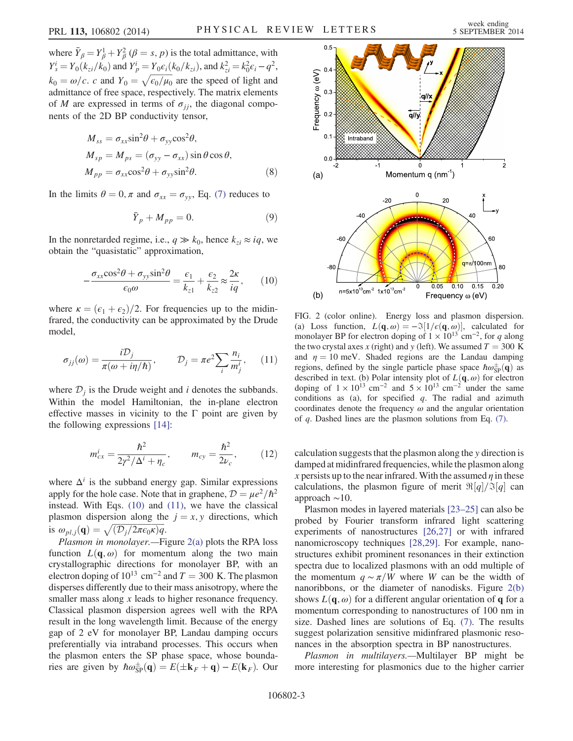where  $\overline{Y}_{\beta} = Y_{\beta}^1 + Y_{\beta}^2$  ( $\beta = s$ , p) is the total admittance, with  $\overline{Y}_{\beta} = Y_{\beta} (k + b)$  and  $\overline{Y}_{\beta} = \frac{1}{2}$  $Y_s^i = Y_0(k_{zi}/k_0)$  and  $Y_p^i = Y_0 \epsilon_i(k_0/k_{zi})$ , and  $k_{zi}^2 = k_0^2 \epsilon_i - q^2$ ,  $k_0 = \omega/c$ . c and  $Y_0 = \sqrt{\epsilon_0/\mu_0}$  are the speed of light and admittance of free space, respectively. The matrix elements admittance of free space, respectively. The matrix elements of M are expressed in terms of  $\sigma_{ij}$ , the diagonal components of the 2D BP conductivity tensor,

$$
M_{ss} = \sigma_{xx} \sin^2 \theta + \sigma_{yy} \cos^2 \theta,
$$
  
\n
$$
M_{sp} = M_{ps} = (\sigma_{yy} - \sigma_{xx}) \sin \theta \cos \theta,
$$
  
\n
$$
M_{pp} = \sigma_{xx} \cos^2 \theta + \sigma_{yy} \sin^2 \theta.
$$
\n(8)

In the limits  $\theta = 0$ ,  $\pi$  and  $\sigma_{xx} = \sigma_{yy}$ , Eq. [\(7\)](#page-1-3) reduces to

$$
\bar{Y}_p + M_{pp} = 0. \tag{9}
$$

<span id="page-2-0"></span>In the nonretarded regime, i.e.,  $q \gg k_0$ , hence  $k_{zi} \approx iq$ , we obtain the "quasistatic" approximation,

$$
-\frac{\sigma_{xx}\cos^2\theta + \sigma_{yy}\sin^2\theta}{\epsilon_0\omega} = \frac{\epsilon_1}{k_{z1}} + \frac{\epsilon_2}{k_{z2}} \approx \frac{2\kappa}{iq},\qquad(10)
$$

<span id="page-2-1"></span>where  $\kappa = (\epsilon_1 + \epsilon_2)/2$ . For frequencies up to the midinfrared, the conductivity can be approximated by the Drude model,

$$
\sigma_{jj}(\omega) = \frac{i\mathcal{D}_j}{\pi(\omega + i\eta/\hbar)}, \qquad \mathcal{D}_j = \pi e^2 \sum_i \frac{n_i}{m_j^i}, \qquad (11)
$$

where  $\mathcal{D}_i$  is the Drude weight and *i* denotes the subbands. Within the model Hamiltonian, the in-plane electron effective masses in vicinity to the  $\Gamma$  point are given by the following expressions [\[14\]](#page-4-3):

$$
m_{cx}^{i} = \frac{\hbar^{2}}{2\gamma^{2}/\Delta^{i} + \eta_{c}}, \qquad m_{cy} = \frac{\hbar^{2}}{2\nu_{c}}, \qquad (12)
$$

where  $\Delta^{i}$  is the subband energy gap. Similar expressions apply for the hole case. Note that in graphene,  $\mathcal{D} = \mu e^2/\hbar^2$ instead. With Eqs. [\(10\)](#page-2-0) and [\(11\)](#page-2-1), we have the classical plasmon dispersion along the  $j = x, y$  directions, which is  $\omega_{pl,j}(\mathbf{q}) = \sqrt{(\mathcal{D}_j/2\pi\epsilon_0\kappa)q}.$ <br>Plasmon in monolayer. Fire

Plasmon in monolayer.—Figure [2\(a\)](#page-2-2) plots the RPA loss function  $L(\mathbf{q},\omega)$  for momentum along the two main crystallographic directions for monolayer BP, with an electron doping of  $10^{13}$  cm<sup>-2</sup> and  $T = 300$  K. The plasmon disperses differently due to their mass anisotropy, where the smaller mass along x leads to higher resonance frequency. Classical plasmon dispersion agrees well with the RPA result in the long wavelength limit. Because of the energy gap of 2 eV for monolayer BP, Landau damping occurs preferentially via intraband processes. This occurs when the plasmon enters the SP phase space, whose boundaries are given by  $\hbar \omega_{SP}^{\pm}(\mathbf{q}) = E(\pm \mathbf{k}_F + \mathbf{q}) - E(\mathbf{k}_F)$ . Our

<span id="page-2-2"></span>

FIG. 2 (color online). Energy loss and plasmon dispersion. (a) Loss function,  $L(\mathbf{q}, \omega) = -\Im[1/\epsilon(\mathbf{q}, \omega)]$ , calculated for monolayer BP for electron doping of  $1 \times 10^{13}$  cm<sup>-2</sup>, for q along the two crystal axes x (right) and y (left). We assumed  $T = 300$  K and  $\eta = 10$  meV. Shaded regions are the Landau damping regions, defined by the single particle phase space  $\hbar \omega_{\rm SP}^{\pm}(\mathbf{q})$  as described in text (b) Polar intensity plot of  $L(\mathbf{q}, \omega)$  for electron described in text. (b) Polar intensity plot of  $L(\mathbf{q}, \omega)$  for electron doping of  $1 \times 10^{13}$  cm<sup>-2</sup> and  $5 \times 10^{13}$  cm<sup>-2</sup> under the same conditions as (a), for specified  $q$ . The radial and azimuth coordinates denote the frequency  $\omega$  and the angular orientation of  $q$ . Dashed lines are the plasmon solutions from Eq.  $(7)$ .

calculation suggests that the plasmon along the y direction is damped at midinfrared frequencies, while the plasmon along x persists up to the near infrared. With the assumed  $\eta$  in these calculations, the plasmon figure of merit  $\Re[q]/\Im[q]$  can approach ∼10.

Plasmon modes in layered materials [\[23](#page-4-13)–25] can also be probed by Fourier transform infrared light scattering experiments of nanostructures [\[26,27\]](#page-4-14) or with infrared nanomicroscopy techniques [\[28,29\].](#page-4-15) For example, nanostructures exhibit prominent resonances in their extinction spectra due to localized plasmons with an odd multiple of the momentum  $q \sim \pi/W$  where W can be the width of nanoribbons, or the diameter of nanodisks. Figure [2\(b\)](#page-2-2) shows  $L(\mathbf{q}, \omega)$  for a different angular orientation of **q** for a momentum corresponding to nanostructures of 100 nm in size. Dashed lines are solutions of Eq. [\(7\)](#page-1-3). The results suggest polarization sensitive midinfrared plasmonic resonances in the absorption spectra in BP nanostructures.

Plasmon in multilayers.—Multilayer BP might be more interesting for plasmonics due to the higher carrier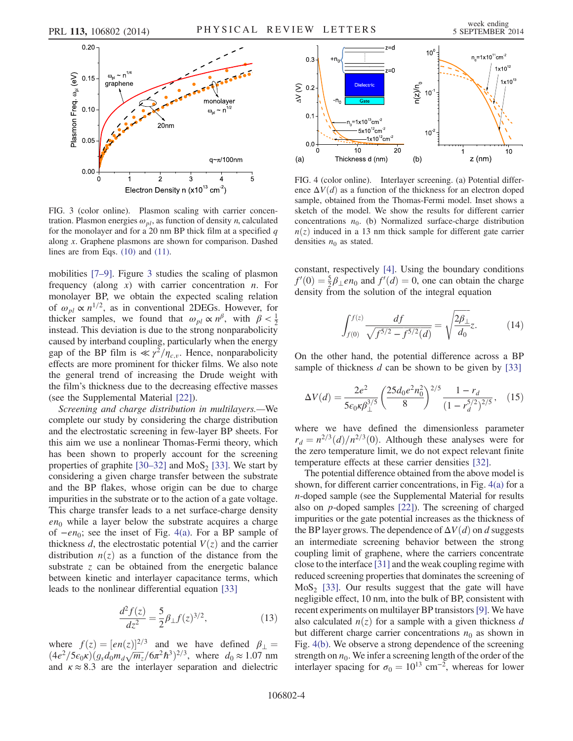<span id="page-3-0"></span>

FIG. 3 (color online). Plasmon scaling with carrier concentration. Plasmon energies  $\omega_{pl}$ , as function of density *n*, calculated for the monolayer and for a 20 nm BP thick film at a specified  $q$ along x. Graphene plasmons are shown for comparison. Dashed lines are from Eqs. [\(10\)](#page-2-0) and [\(11\).](#page-2-1)

mobilities [7–[9\].](#page-4-16) Figure [3](#page-3-0) studies the scaling of plasmon frequency (along  $x$ ) with carrier concentration  $n$ . For monolayer BP, we obtain the expected scaling relation of  $\omega_{pl} \propto n^{1/2}$ , as in conventional 2DEGs. However, for thicker samples, we found that  $\omega_{pl} \propto n^{\beta}$ , with  $\beta < \frac{1}{2}$ instead. This deviation is due to the strong nonparabolicity caused by interband coupling, particularly when the energy gap of the BP film is  $\ll \gamma^2/\eta_{c,v}$ . Hence, nonparabolicity effects are more prominent for thicker films. We also note the general trend of increasing the Drude weight with the film's thickness due to the decreasing effective masses (see the Supplemental Material [\[22\]](#page-4-12)).

Screening and charge distribution in multilayers.—We complete our study by considering the charge distribution and the electrostatic screening in few-layer BP sheets. For this aim we use a nonlinear Thomas-Fermi theory, which has been shown to properly account for the screening properties of graphite  $[30-32]$  $[30-32]$  and MoS<sub>2</sub> [\[33\].](#page-4-18) We start by considering a given charge transfer between the substrate and the BP flakes, whose origin can be due to charge impurities in the substrate or to the action of a gate voltage. This charge transfer leads to a net surface-charge density  $en_0$  while a layer below the substrate acquires a charge of  $-en_0$ ; see the inset of Fig. [4\(a\)](#page-3-1). For a BP sample of thickness d, the electrostatic potential  $V(z)$  and the carrier distribution  $n(z)$  as a function of the distance from the substrate  $z$  can be obtained from the energetic balance between kinetic and interlayer capacitance terms, which leads to the nonlinear differential equation [\[33\]](#page-4-18)

$$
\frac{d^2f(z)}{dz^2} = \frac{5}{2}\beta_\perp f(z)^{3/2},\tag{13}
$$

where  $f(z) = [en(z)]^{2/3}$  and we have defined  $\beta_{\perp} =$  $(4e^2/5\epsilon_0 \kappa)(g_s d_0 m_d \sqrt{m_z}/6\pi^2 \hbar^3)^{2/3}$ , where  $d_0 \approx 1.07$  nm<br>and  $\kappa \approx 8.3$  are the interlayer separation and dielectric and  $\kappa \approx 8.3$  are the interlayer separation and dielectric

<span id="page-3-1"></span>

FIG. 4 (color online). Interlayer screening. (a) Potential difference  $\Delta V(d)$  as a function of the thickness for an electron doped sample, obtained from the Thomas-Fermi model. Inset shows a sketch of the model. We show the results for different carrier concentrations  $n_0$ . (b) Normalized surface-charge distribution  $n(z)$  induced in a 13 nm thick sample for different gate carrier densities  $n_0$  as stated.

constant, respectively [\[4\].](#page-4-4) Using the boundary conditions  $f'(0) = \frac{5}{2}\beta_{\perp}en_0$  and  $f'(d) = 0$ , one can obtain the charge<br>density from the solution of the integral equation density from the solution of the integral equation

$$
\int_{f(0)}^{f(z)} \frac{df}{\sqrt{f^{5/2} - f^{5/2}(d)}} = \sqrt{\frac{2\beta_{\perp}}{d_0}} z.
$$
 (14)

On the other hand, the potential difference across a BP sample of thickness  $d$  can be shown to be given by [\[33\]](#page-4-18)

$$
\Delta V(d) = \frac{2e^2}{5\epsilon_0 \kappa \beta_\perp^{3/5}} \left(\frac{25d_0 e^2 n_0^2}{8}\right)^{2/5} \frac{1 - r_d}{(1 - r_d^{5/2})^{2/5}},\tag{15}
$$

where we have defined the dimensionless parameter  $r_d = n^{2/3}(d)/n^{2/3}(0)$ . Although these analyses were for the zero temperature limit, we do not expect relevant finite temperature effects at these carrier densities [\[32\]](#page-4-19).

The potential difference obtained from the above model is shown, for different carrier concentrations, in Fig. [4\(a\)](#page-3-1) for a n-doped sample (see the Supplemental Material for results also on p-doped samples [\[22\]\)](#page-4-12). The screening of charged impurities or the gate potential increases as the thickness of the BP layer grows. The dependence of  $\Delta V(d)$  on d suggests an intermediate screening behavior between the strong coupling limit of graphene, where the carriers concentrate close to the interface [\[31\]](#page-4-20) and the weak coupling regime with reduced screening properties that dominates the screening of  $MoS<sub>2</sub>$  [\[33\].](#page-4-18) Our results suggest that the gate will have negligible effect, 10 nm, into the bulk of BP, consistent with recent experiments on multilayer BP transistors[\[9\].](#page-4-21) We have also calculated  $n(z)$  for a sample with a given thickness d but different charge carrier concentrations  $n_0$  as shown in Fig. [4\(b\)](#page-3-1). We observe a strong dependence of the screening strength on  $n_0$ . We infer a screening length of the order of the interlayer spacing for  $\sigma_0 = 10^{13}$  cm<sup>-2</sup>, whereas for lower